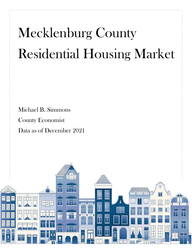# Mecklenburg County Residential Housing Market

 Michael B. Simmons County Economist Data as of December 2021

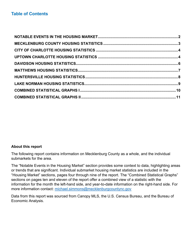#### **About this report**

The following report contains information on Mecklenburg County as a whole, and the individual submarkets for the area.

The "Notable Events in the Housing Market" section provides some context to data, highlighting areas or trends that are significant. Individual submarket housing market statistics are included in the "Housing Market" sections, pages four through nine of the report. The "Combined Statistical Graphs" sections on pages ten and eleven of the report offer a combined view of a statistic with the information for the month the left-hand side, and year-to-date information on the right-hand side. For more information contact: [michael.simmons@mecklenburgcountync.gov](mailto:michael.simmons@mecklenburgcountync.gov)

Data from this report was sourced from Canopy MLS, the U.S. Census Bureau, and the Bureau of Economic Analysis.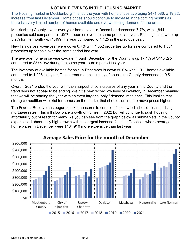#### **NOTABLE EVENTS IN THE HOUSING MARKET**

<span id="page-2-0"></span>The Housing market in Mecklenburg finished the year with home prices averaging \$471,086, a 19.8% increase from last December. Home prices should continue to increase in the coming months as there is a very limited number of homes available and overwhelming demand for the area.

<span id="page-2-1"></span>Mecklenburg County's year-over-year home sales in December decreased 7.7%, with 1,844 properties sold compared to 1,997 properties over the same period last year. Pending sales were up 5.2% for the month with 1,499 this year compared to 1,425 in the previous year.

New listings year-over-year were down 0.7% with 1,352 properties up for sale compared to 1,361 properties up for sale over the same period last year.

The average home price year-to-date through December for the County is up 17.4% at \$440,275 compared to \$375,062 during the same year-to-date period last year.

The inventory of available homes for sale in December is down 50.0% with 1,011 homes available compared to 1,925 last year. The current month's supply of housing in County decreased to 0.5 months.

Overall, 2021 ended the year with the sharpest price increases of any year in the County and the trend does not appear to be ending. We hit a new record low level of inventory in December meaning that we will be starting the year with an even larger supply / demand imbalance. This implies that strong competition will exist for homes on the market that should continue to move prices higher.

The Federal Reserve has begun to take measures to control inflation which should result in rising mortgage rates. This will slow price growth of homes in 2022 but will continue to push housing affordability out of reach for many. As you can see from the graph below all submarkets in the County experienced abnormally high growth with the largest increase found in Davidson where average home prices in December were \$184,910 more expensive than last year.



## Average Sales Price for the month of December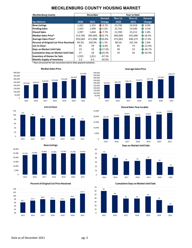#### **MECKLENBURG COUNTY HOUSING MARKET**

| <b>Mecklenburg County</b>                      | <b>December</b> |         |                | <b>Year to Date</b> |                 |             |  |
|------------------------------------------------|-----------------|---------|----------------|---------------------|-----------------|-------------|--|
|                                                |                 |         | Percent        | <b>Thru 12-</b>     | <b>Thru 12-</b> | Percent     |  |
| <b>Key Metrics</b>                             | 2020            | 2021    | <b>Change</b>  | 2020                | 2021            | Change      |  |
| <b>New Listings</b>                            | 1,361           | 1,352   | $-0.7%$        | 24,706              | 24,918          | 0.9%<br>ЙN  |  |
| <b>Pending Sales</b>                           | 1,425           | 1,499   | FP 5.2%        | 22,741              | 23,540          | 3.5%<br>ĥР. |  |
| <b>Closed Sales</b>                            | 1.997           | 1.844   | $-7.7%$        | 21,930              | 23,212          | 5.8%<br>ĥР. |  |
| Median Sales Price*                            | 313,700         | 385,000 | FR22.7%        | 300,000             | 355,000         | A 18.3%     |  |
| <b>Average Sales Price*</b>                    | 393,069         | 471,086 | AN19.8%        | 375,062             | 440,275         | AP 17.4%    |  |
| <b>Percent of Original List Price Received</b> | 99.2%           | 100.9%  | FP 1.7%        | 98.5%               | 101.3%          | 2.8%<br>ЯÑ  |  |
| <b>List to Close</b>                           | 83              | 78      | $h - 6.0%$     | 85                  | 74              | $-12.9%$    |  |
| Days on Market Until Sale                      | 23              | 19      | <b>A</b> 17.4% | 30                  | 19              | AN-36.7%    |  |
| <b>Cumulative Days on Market Until Sale</b>    | 27              | 18      | 133.3%         | 35                  | 20              | Fr-42.9%    |  |
| <b>Inventory of Homes for Sale</b>             | 1,925           | 1,011   | $-47.5%$       |                     |                 |             |  |
| <b>Months Supply of Inventory</b>              | 1.0             | 0.5     | $-50.0%$       |                     |                 |             |  |

0 50,000

**\* Does not account for sale concessions and /or down payment assistance.** 





**New Listings**



















**Closed Sales Year-to-date** 

2015 2016 2017 2018 2019 2020 2021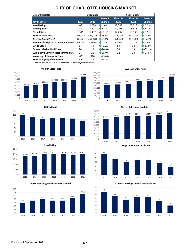#### **CITY OF CHARLOTTE HOUSING MARKET**

<span id="page-4-0"></span>

| <b>City of Charlotte</b>                       | <b>December</b> |         |          | <b>Year to Date</b> |                 |                |  |
|------------------------------------------------|-----------------|---------|----------|---------------------|-----------------|----------------|--|
|                                                |                 |         | Percent  | <b>Thru 12-</b>     | <b>Thru 12-</b> | <b>Percent</b> |  |
| <b>Key Metrics</b>                             | 2020            | 2021    | Change   | 2020                | 2021            | Change         |  |
| <b>New Listings</b>                            | 1,081           | 1,098   | FP 1.6%  | 19,588              | 20,013          | 2.2%<br>ЯN     |  |
| <b>Pending Sales</b>                           | 1,127           | 1,203   | Pr 6.7%  | 17,793              | 18,876          | 6.1%<br>ĥР.    |  |
| <b>Closed Sales</b>                            | 1.549           | 1,432   | $-7.6%$  | 17,237              | 18,533          | 7.5%<br>ЙÑ     |  |
| Median Sales Price*                            | 295,000         | 369,728 | A25.3%   | 285,000             | 340,000         | A 19.3%        |  |
| <b>Average Sales Price*</b>                    | 380,921         | 454.684 | hr19.4%  | 364,570             | 428.709         | AP 17.6%       |  |
| <b>Percent of Original List Price Received</b> | 99.1%           | 100.9%  | FP 1.8%  | 98.6%               | 101.2%          | <b>R</b> 2.6%  |  |
| List to Close                                  | 84              | 79      | $-6.0%$  | 84                  | 74              | $-11.9%$       |  |
| Days on Market Until Sale                      | 24              | 19      | ₦ 20.8%  | 28                  | 19              | $R - 32.1%$    |  |
| <b>Cumulative Days on Market Until Sale</b>    | 27              | 20      | 125.9%   | 32                  | 20              | Fr-37.5%       |  |
| <b>Inventory of Homes for Sale</b>             | 1,601           | 810     | $-49.4%$ |                     |                 |                |  |
| <b>Months Supply of Inventory</b>              | 1.1             | 0.5     | $-54.5%$ |                     |                 |                |  |

**\* Does not account for sale concessions and /or down payment assistance.** 





**New Listings**







<span id="page-4-1"></span>



**Days on Market Until Sale**







**Closed Sales Year-t o-date**

2015 2016 2017 2018 2019 2020 2021

Data as of December 2021 pg. 4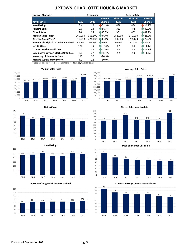#### **UPTOWN CHARLOTTE HOUSING MARKET**

| <b>Uptown Charlotte</b>                     | <b>December</b> |         |                      | <b>Year to Date</b> |                 |                     |  |
|---------------------------------------------|-----------------|---------|----------------------|---------------------|-----------------|---------------------|--|
|                                             |                 |         | Percent              | <b>Thru 12-</b>     | <b>Thru 12-</b> | Percent             |  |
| <b>Key Metrics</b>                          | 2020            | 2021    | Change               | 2020                | 2021            | Change              |  |
| <b>New Listings</b>                         | 39              | 19      | 1451.3%              | 498                 | 486             | $\frac{1}{2}$ -2.4% |  |
| Pending Sales                               | 22              | 24      | AP 9.1%              | 333                 | 475             | FR 42.6%            |  |
| <b>Closed Sales</b>                         | 26              | 34      | FR30.8%              | 331                 | 469             | FR 41.7%            |  |
| <b>Median Sales Price*</b>                  | 269,000         | 361,500 | A34.4%               | 281,000             | 340,000         | <b>R</b> 21.0%      |  |
| <b>Average Sales Price*</b>                 | 315,938         | 421,433 | h <sub>N</sub> 33.4% | 321,603             | 393,143         | FP 22.2%            |  |
| Percent of Original List Price Received     | 95.6%           | 96.2%   | AN 0.6%              | 96.6%               | 97.1%           | <b>R</b> 0.5%       |  |
| List to Close                               | 126             | 79      | A-37.3%              | 87                  | 84              | $AP - 3.4%$         |  |
| Days on Market Until Sale                   | 78              | 37      | ₦ 52.6%              | 44                  | 43              | $AP - 2.3%$         |  |
| <b>Cumulative Days on Market Until Sale</b> | 83              | 37      | A-55.4%              | 52                  | 50              | $AP - 3.8%$         |  |
| <b>Inventory of Homes for Sale</b>          | 110             | 32      | $-70.9%$             |                     |                 |                     |  |
| <b>Months Supply of Inventory</b>           | 4.0             | 0.8     | $-80.0%$             |                     |                 |                     |  |

**\* Does not account for sale concessions and /or down payment assistance.** 





**New Listings**











**Closed Sales Year-to-date** 









Data as of December 2021 pg. 5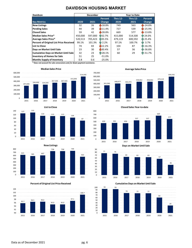#### **DAVIDSON HOUSING MARKET**

<span id="page-6-0"></span>

| Davidson                                    | <b>December</b> |         |               | <b>Year to Date</b> |                 |                 |
|---------------------------------------------|-----------------|---------|---------------|---------------------|-----------------|-----------------|
|                                             |                 |         | Percent       | <b>Thru 12-</b>     | <b>Thru 12-</b> | Percent         |
| <b>Key Metrics</b>                          | 2020            | 2021    | <b>Change</b> | 2020                | 2021            | Change          |
| <b>New Listings</b>                         | 32              | 26      | $18.8\%$      | 749                 | 563             | $-24.8%$        |
| <b>Pending Sales</b>                        | 44              | 39      | 11.4%         | 727                 | 539             | $-25.9%$        |
| <b>Closed Sales</b>                         | 59              | 42      | 1428.8%       | 669                 | 577             | $-13.8%$        |
| <b>Median Sales Price*</b>                  | 450,000         | 597,000 | A32.7%        | 415,000             | 514,500         | <b>MR</b> 24.0% |
| Average Sales Price*                        | 520.513         | 705,423 | FB35.5%       | 479,119             | 600,592         | FR 25.4%        |
| Percent of Original List Price Received     | 99.1%           | 101.3%  | FP 2.2%       | 97.1%               | 100.7%          | 3.7%<br>ЙN.     |
| <b>List to Close</b>                        | 74              | 83      | 12.2%         | 104                 | 87              | $-16.3%$        |
| Days on Market Until Sale                   | 23              | 30      | <b>30.4%</b>  | 57                  | 36              | FR-36.8%        |
| <b>Cumulative Days on Market Until Sale</b> | 32              | 23      | F28.1%        | 60                  | 29              | $R - 51.7%$     |
| <b>Inventory of Homes for Sale</b>          | 51              | 25      | $-51.0%$      |                     |                 |                 |
| <b>Months Supply of Inventory</b>           | 0.8             | 0.6     | $-25.0%$      |                     |                 |                 |

0

**\* Does not account for sale concessions and /or down payment assistance.** 









<span id="page-6-1"></span>



**Closed Sales Year-to-date** 

2015 2016 2017 2018 2019 2020 2021





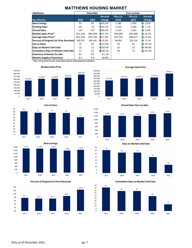### **MATTHEWS HOUSING MARKET**

| <b>Matthews</b>                                |         | <b>December</b> |                            | <b>Year to Date</b> |          |                   |  |
|------------------------------------------------|---------|-----------------|----------------------------|---------------------|----------|-------------------|--|
|                                                |         |                 | Percent                    | <b>Thru 12-</b>     | Thru 12- | Percent           |  |
| <b>Key Metrics</b>                             | 2020    | 2021            | Change                     | 2020                | 2021     | <b>Change</b>     |  |
| <b>New Listings</b>                            | 51      | 63              | Fr23.5%                    | 1,380               | 1.430    | 3.6%<br>ЙN        |  |
| <b>Pending Sales</b>                           | 64      | 73              | AN14.1%                    | 1,333               | 1,356    | 1.7%<br>ЙN        |  |
| <b>Closed Sales</b>                            | 114     | 137             | FR20.2%                    | 1,314               | 1,361    | 3.6%<br><b>HN</b> |  |
| Median Sales Price*                            | 331,250 | 389,990         | AN17.7%                    | 330,000             | 385,000  | AP 16.7%          |  |
| Average Sales Price*                           | 365,518 | 429,746         | AN17.6%                    | 370,703             | 448,477  | Fr 21.0%          |  |
| <b>Percent of Original List Price Received</b> | 100.7%  | 100.4%          | $-0.3%$                    | 98.8%               | 102.5%   | <b>R</b> 3.7%     |  |
| List to Close                                  | 72      | 63              | <b>R</b> 12.5%             | 76                  | 61       | $n-19.7%$         |  |
| Days on Market Until Sale                      | 15      | 12              | <b>A</b> <sup>20.0</sup> % | 25                  | 13       | AN-48.0%          |  |
| <b>Cumulative Days on Market Until Sale</b>    | 21      | 13              | <b>4+38.1%</b>             | 29                  | 13       | $-55.2%$          |  |
| <b>Inventory of Homes for Sale</b>             | 61      | 42              | $-31.1%$                   |                     |          |                   |  |
| <b>Months Supply of Inventory</b>              | 0.5     | 0.4             | $-20.0%$                   |                     |          |                   |  |

**\* Does not account for sale concessions and /or down payment assistance.** 











**Average Sales Price**





**Closed Sales Year-t o-date**

**Days on Market Until Sale**



**Cumulative Days on Market Until Sale**

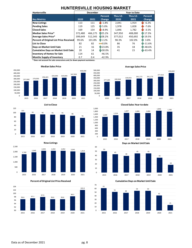#### <span id="page-8-0"></span>**HUNTERSVILLE HOUSING MARKET**

| <b>Huntersville</b>                         | <b>December</b> |         |                | <b>Year to Date</b> |                 |                     |
|---------------------------------------------|-----------------|---------|----------------|---------------------|-----------------|---------------------|
|                                             |                 |         | Percent        | <b>Thru 12-</b>     | <b>Thru 12-</b> | Percent             |
| <b>Key Metrics</b>                          | 2020            | 2021    | Change         | 2020                | 2021            | <b>Change</b>       |
| <b>New Listings</b>                         | 113             | 111     | $-1.8%$        | 2,041               | 1,914           | $-6.2%$             |
| Pending Sales                               | 119             | 125     | AP 5.0%        | 1,978               | 1,828           | $\sqrt{11 - 7.6\%}$ |
| <b>Closed Sales</b>                         | 169             | 154     | $-8.9%$        | 1.846               | 1.782           | $\frac{1}{2}$ -3.5% |
| Median Sales Price*                         | 372,480         | 466,175 | FR25.2%        | 347,950             | 408,000         | FR 17.3%            |
| Average Sales Price*                        | 399.649         | 512,345 | FR28.2%        | 377,012             | 450,692         | FR 19.5%            |
| Percent of Original List Price Received     | 99.6%           | 101.8%  | AP 2.2%        | 98.3%               | 102.0%          | TR 3.8%             |
| <b>List to Close</b>                        | 82              | 82      | $= 0.0\%$      | 86                  | 76              | $n - 11.6%$         |
| Days on Market Until Sale                   | 21              | 16      | <b>R</b> 23.8% | 35                  | 18              | Fr-48.6%            |
| <b>Cumulative Days on Market Until Sale</b> | 20              | 14      | A+30.0%        | 41                  | 15              | Pr-63.4%            |
| <b>Inventory of Homes for Sale</b>          | 114             | 61      | $-46.5%$       |                     |                 |                     |
| <b>Months Supply of Inventory</b>           | 0.7             | 0.4     | $-42.9%$       |                     |                 |                     |

400,000 450,000 500,000

**\* Does not account for sale concessions and /or down payment assistance.** 













450,692











**List to Close**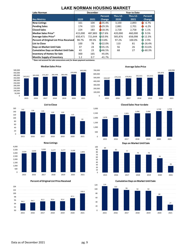#### **LAKE NORMAN HOUSING MARKET**

<span id="page-9-0"></span>

| Lake Norman                                    | <b>December</b> |         |               | <b>Year to Date</b> |                 |                     |
|------------------------------------------------|-----------------|---------|---------------|---------------------|-----------------|---------------------|
|                                                |                 |         | Percent       | <b>Thru 12-</b>     | <b>Thru 12-</b> | Percent             |
| <b>Key Metrics</b>                             | 2020            | 2021    | <b>Change</b> | 2020                | 2021            | Change              |
| <b>New Listings</b>                            | 161             | 104     | 435.4%        | 3,100               | 2,893           | $\frac{1}{2}$ -6.7% |
| <b>Pending Sales</b>                           | 174             | 123     | 1429.3%       | 2,881               | 2,701           | $-6.2%$<br>w        |
| <b>Closed Sales</b>                            | 224             | 183     | 18.3%         | 2,728               | 2.758           | 1.1%<br>ЙÑ          |
| <b>Median Sales Price*</b>                     | 415.000         | 487,883 | AN17.6%       | 420.000             | 460.000         | <b>R</b> 9.5%       |
| Average Sales Price*                           | 650.471         | 721,644 | AN10.9%       | 585,876             | 658,098         | FR 12.3%            |
| <b>Percent of Original List Price Received</b> | 98.7%           | 99.5%   | FP 0.8%       | 97.2%               | 100.0%          | <b>TR</b> 2.9%      |
| <b>List to Close</b>                           | 100             | 78      | A22.0%        | 110                 | 81              | $-26.4%$            |
| Days on Market Until Sale                      | 37              | 24      | FR35.1%       | 56                  | 26              | FR-53.6%            |
| <b>Cumulative Days on Market Until Sale</b>    | 43              | 23      | A46.5%        | 68                  | 27              | $-60.3%$            |
| <b>Inventory of Homes for Sale</b>             | 300             | 165     | $-45.0%$      |                     |                 |                     |
| <b>Months Supply of Inventory</b>              | 1.2             | 0.7     | $-41.7%$      |                     |                 |                     |

**\* Does not account for sale concessions and /or down payment assistance.** 























<span id="page-9-1"></span>Data as of December 2021 pg. 9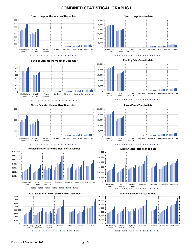#### **COMBINED STATISTICAL GRAPHS I**